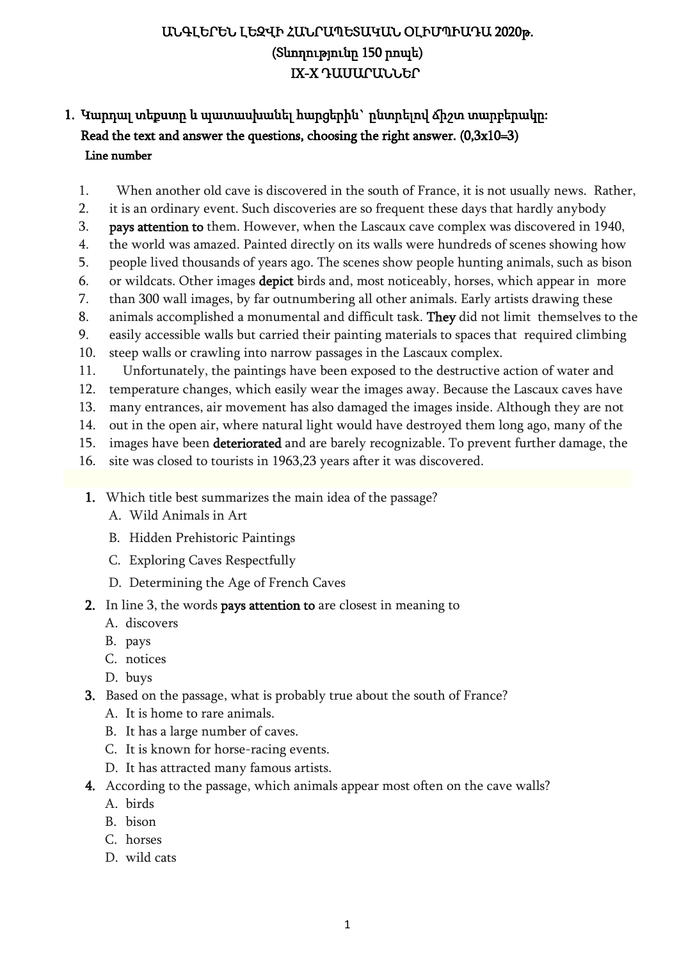## ԱՆԳԼԵՐԵՆ ԼԵԶՎԻ ՀԱՆՐԱՊԵՏԱԿԱՆ ՕԼԻՄՊԻԱԴԱ 2020թ. (Տևողությունը 150 րոպե) IX-X ԴԱՍԱՐԱՆՆԵՐ

#### 1. Կարդալ տեքստը և պատասխանել հարցերին` ընտրելով ճիշտ տարբերակը: Read the text and answer the questions, choosing the right answer.  $(0,3x10=3)$ Line number

- 1. When another old cave is discovered in the south of France, it is not usually news. Rather,
- 2. it is an ordinary event. Such discoveries are so frequent these days that hardly anybody
- 3. pays attention to them. However, when the Lascaux cave complex was discovered in 1940,
- 4. the world was amazed. Painted directly on its walls were hundreds of scenes showing how
- 5. people lived thousands of years ago. The scenes show people hunting animals, such as bison
- 6. or wildcats. Other images depict birds and, most noticeably, horses, which appear in more
- 7. than 300 wall images, by far outnumbering all other animals. Early artists drawing these
- 8. animals accomplished a monumental and difficult task. They did not limit themselves to the
- 9. easily accessible walls but carried their painting materials to spaces that required climbing
- 10. steep walls or crawling into narrow passages in the Lascaux complex.
- 11. Unfortunately, the paintings have been exposed to the destructive action of water and
- 12. temperature changes, which easily wear the images away. Because the Lascaux caves have
- 13. many entrances, air movement has also damaged the images inside. Although they are not
- 14. out in the open air, where natural light would have destroyed them long ago, many of the
- 15. images have been deteriorated and are barely recognizable. To prevent further damage, the
- 16. site was closed to tourists in 1963,23 years after it was discovered.
- 1. Which title best summarizes the main idea of the passage?
	- A. Wild Animals in Art
	- B. Hidden Prehistoric Paintings
	- C. Exploring Caves Respectfully
	- D. Determining the Age of French Caves
- 2. In line 3, the words pays attention to are closest in meaning to
	- A. discovers
	- B. pays
	- C. notices
	- D. buys
- 3. Based on the passage, what is probably true about the south of France?
	- A. It is home to rare animals.
	- B. It has a large number of caves.
	- C. It is known for horse-racing events.
	- D. It has attracted many famous artists.
- 4. According to the passage, which animals appear most often on the cave walls?
	- A. birds
	- B. bison
	- C. horses
	- D. wild cats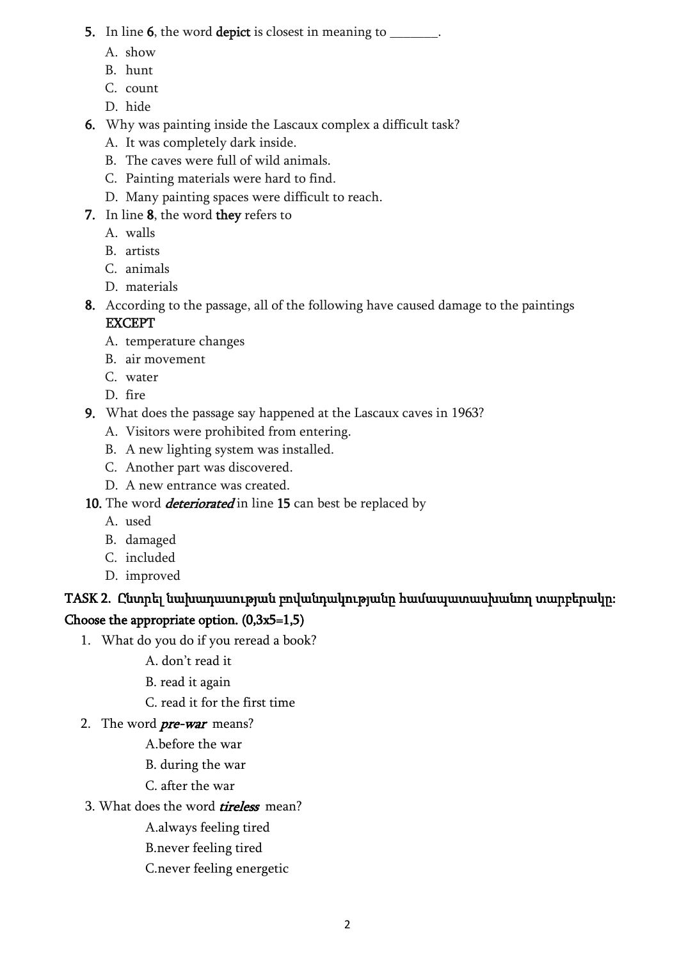#### 5. In line 6, the word depict is closest in meaning to  $\blacksquare$ .

- A. show
- B. hunt
- C. count
- D. hide
- 6. Why was painting inside the Lascaux complex a difficult task?
	- A. It was completely dark inside.
	- B. The caves were full of wild animals.
	- C. Painting materials were hard to find.
	- D. Many painting spaces were difficult to reach.
- 7. In line 8, the word they refers to
	- A. walls
	- B. artists
	- C. animals
	- D. materials
- 8. According to the passage, all of the following have caused damage to the paintings EXCEPT
	- A. temperature changes
	- B. air movement
	- C. water
	- D. fire
- 9. What does the passage say happened at the Lascaux caves in 1963?
	- A. Visitors were prohibited from entering.
	- B. A new lighting system was installed.
	- C. Another part was discovered.
	- D. A new entrance was created.
- 10. The word *deteriorated* in line 15 can best be replaced by
	- A. used
	- B. damaged
	- C. included
	- D. improved

# TASK 2. Ընտրել նախադասության բովանդակությանը համապատասխանող տարբերակը: Choose the appropriate option.  $(0,3x5=1,5)$

- 1. What do you do if you reread a book?
	- A. don't read it
	- B. read it again
	- C. read it for the first time
- 2. The word *pre-war* means?
	- A.before the war
	- B. during the war
	- C. after the war
- 3. What does the word *tireless* mean?
	- A.always feeling tired
	- B.never feeling tired
	- C.never feeling energetic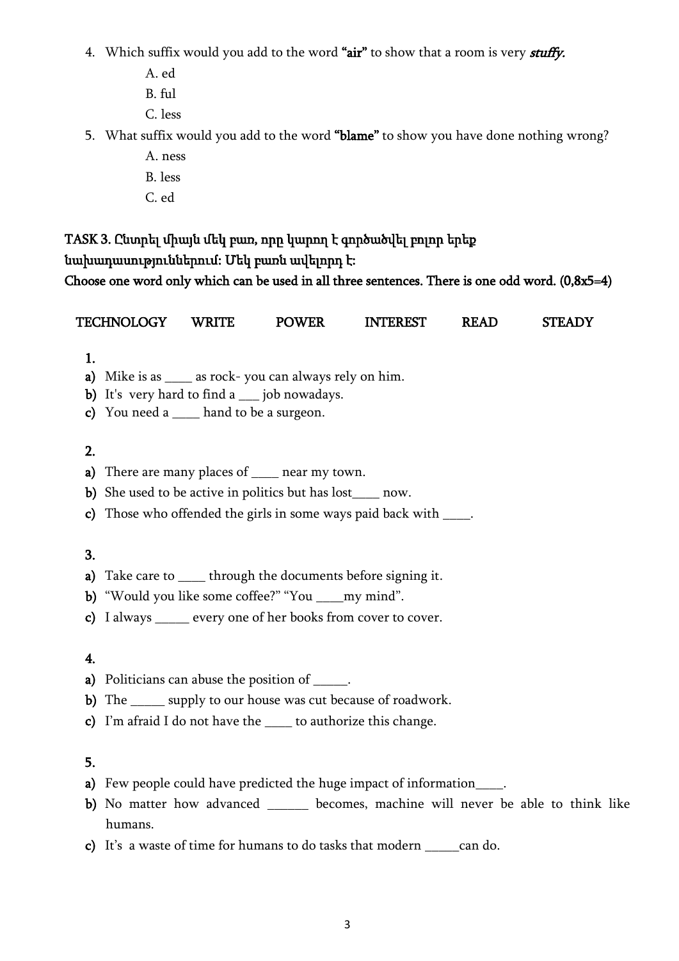- 4. Which suffix would you add to the word "air" to show that a room is very *stuffy*.
	- A. ed
	- B. ful
	- C. less
- 5. What suffix would you add to the word "blame" to show you have done nothing wrong?
	- A. ness B. less
	- C. ed

## TASK 3. Ընտրել միայն մեկ բառ, որը կարող է գործածվել բոլոր երեք նախադասություններում: Մեկ բառն ավելորդ է: Choose one word only which can be used in all three sentences. There is one odd word. (0,8x5=4)

TECHNOLOGY WRITE POWER INTEREST READ STEADY

| 1.           |                                                                                     |
|--------------|-------------------------------------------------------------------------------------|
| a)           | Mike is as _____ as rock-you can always rely on him.                                |
| b)           | It's very hard to find a ___ job nowadays.                                          |
| $\mathbf{c}$ | You need a ____ hand to be a surgeon.                                               |
| 2.           |                                                                                     |
| a)           | There are many places of _____ near my town.                                        |
|              |                                                                                     |
| $\mathbf{b}$ | She used to be active in politics but has lost_____ now.                            |
| $\mathbf{c}$ | Those who offended the girls in some ways paid back with _____.                     |
| 3.           |                                                                                     |
|              |                                                                                     |
| a)           | Take care to ______ through the documents before signing it.                        |
|              | b) "Would you like some coffee?" "You ____ my mind".                                |
|              | c) I always ______ every one of her books from cover to cover.                      |
|              |                                                                                     |
| 4.           |                                                                                     |
| a)           | Politicians can abuse the position of ______.                                       |
| b)           | The ______ supply to our house was cut because of roadwork.                         |
| $\mathbf{c}$ | I'm afraid I do not have the _____ to authorize this change.                        |
|              |                                                                                     |
| 5.           |                                                                                     |
|              | Few people could have predicted the huge impact of information____.                 |
| a)           |                                                                                     |
|              | b) No matter how advanced _______ becomes, machine will never be able to think like |
|              | humans.                                                                             |
|              | c) It's a waste of time for humans to do tasks that modern _______ can do.          |
|              |                                                                                     |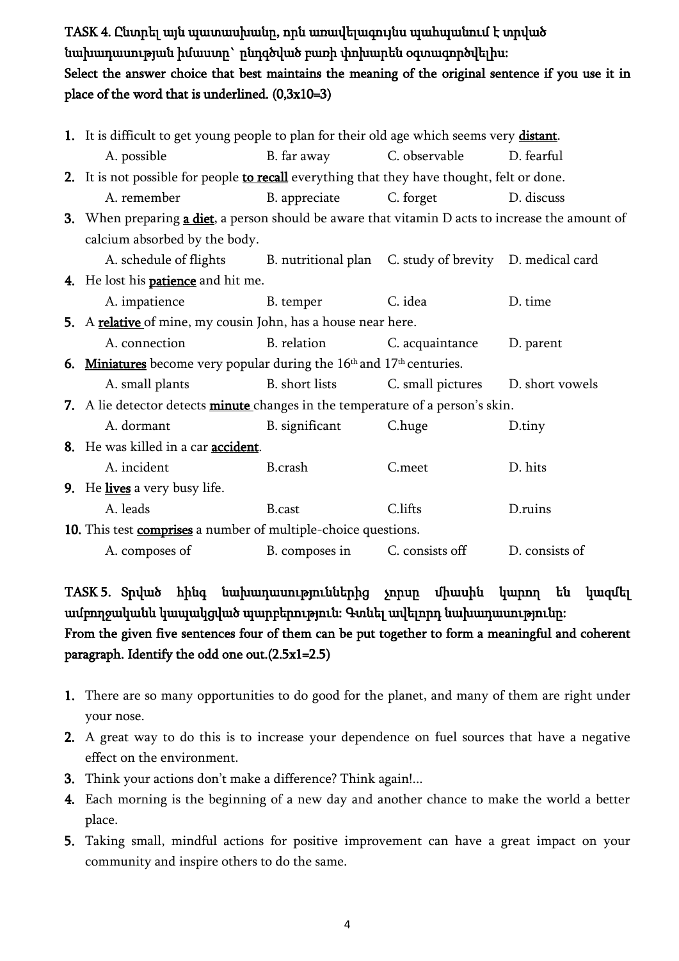TASK 4. Ընտրել այն պատասխանը, որն առավելագույնս պահպանում է տրված նախադասության իմաստը` ընդգծված բառի փոխարեն օգտագործվելիս: Select the answer choice that best maintains the meaning of the original sentence if you use it in place of the word that is underlined.  $(0,3x10=3)$ 

| 1. It is difficult to get young people to plan for their old age which seems very distant.       |                |                   |                 |  |  |
|--------------------------------------------------------------------------------------------------|----------------|-------------------|-----------------|--|--|
| A. possible                                                                                      | B. far away    | C. observable     | D. fearful      |  |  |
| 2. It is not possible for people to recall everything that they have thought, felt or done.      |                |                   |                 |  |  |
| A. remember                                                                                      | B. appreciate  | C. forget         | D. discuss      |  |  |
| 3. When preparing a diet, a person should be aware that vitamin D acts to increase the amount of |                |                   |                 |  |  |
| calcium absorbed by the body.                                                                    |                |                   |                 |  |  |
| A. schedule of flights B. nutritional plan C. study of brevity D. medical card                   |                |                   |                 |  |  |
| 4. He lost his <b>patience</b> and hit me.                                                       |                |                   |                 |  |  |
| A. impatience                                                                                    | B. temper      | C. idea           | D. time         |  |  |
| 5. A relative of mine, my cousin John, has a house near here.                                    |                |                   |                 |  |  |
| A. connection                                                                                    | B. relation    | C. acquaintance   | D. parent       |  |  |
| 6. Miniatures become very popular during the $16th$ and $17th$ centuries.                        |                |                   |                 |  |  |
| A. small plants                                                                                  | B. short lists | C. small pictures | D. short vowels |  |  |
| 7. A lie detector detects minute changes in the temperature of a person's skin.                  |                |                   |                 |  |  |
| A. dormant                                                                                       | B. significant | C.huge            | D.tiny          |  |  |
| 8. He was killed in a car <b>accident</b> .                                                      |                |                   |                 |  |  |
| A. incident                                                                                      | <b>B.crash</b> | C.meet            | D. hits         |  |  |
| 9. He lives a very busy life.                                                                    |                |                   |                 |  |  |
| A. leads                                                                                         | <b>B</b> .cast | C.lifts           | D.ruins         |  |  |
| 10. This test comprises a number of multiple-choice questions.                                   |                |                   |                 |  |  |
| A. composes of                                                                                   | B. composes in | C. consists off   | D. consists of  |  |  |

TASK 5. Տրված հինգ նախադասություններից չորսը միասին կարող են կազմել ամբողջականև կապակցված պարբերություն: Գտնել ավելորդ նախադասությունը: From the given five sentences four of them can be put together to form a meaningful and coherent paragraph. Identify the odd one out.(2.5x1=2.5)

- 1. There are so many opportunities to do good for the planet, and many of them are right under your nose.
- 2. A great way to do this is to increase your dependence on fuel sources that have a negative effect on the environment.
- 3. Think your actions don't make a difference? Think again!...
- 4. Each morning is the beginning of a new day and another chance to make the world a better place.
- 5. Taking small, mindful actions for positive improvement can have a great impact on your community and inspire others to do the same.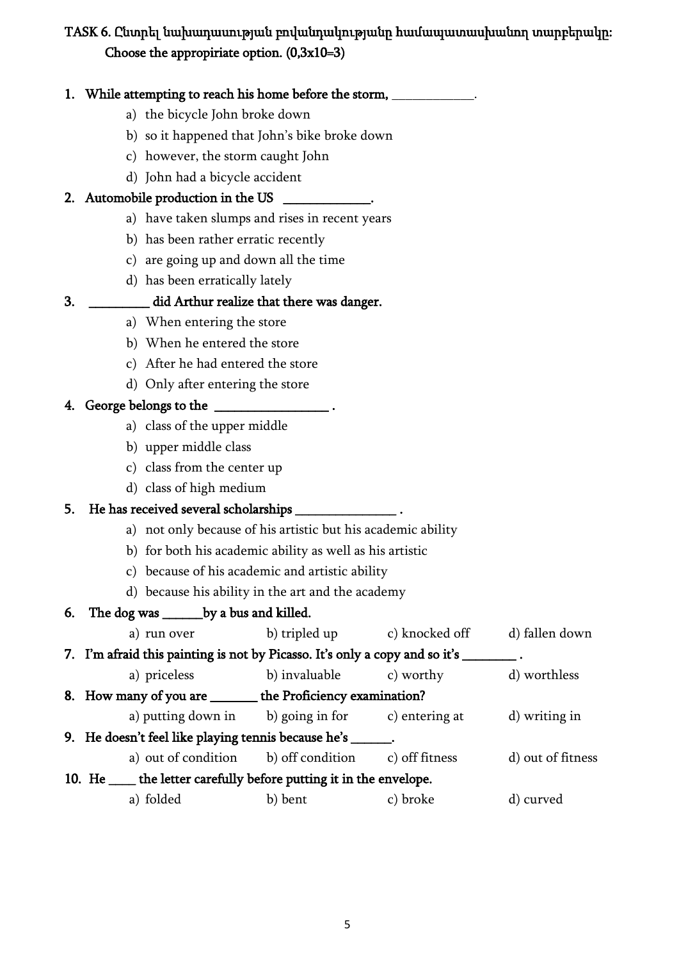# TASK 6. Ընտրել նախադասության բովանդակությանը համապատասխանող տարբերակը: Choose the appropiriate option. (0,3x10=3)

|    |                                |                                              | 1. While attempting to reach his home before the storm, ____________.                 |          |                   |
|----|--------------------------------|----------------------------------------------|---------------------------------------------------------------------------------------|----------|-------------------|
|    | a) the bicycle John broke down |                                              |                                                                                       |          |                   |
|    |                                |                                              | b) so it happened that John's bike broke down                                         |          |                   |
|    |                                | c) however, the storm caught John            |                                                                                       |          |                   |
|    |                                | d) John had a bicycle accident               |                                                                                       |          |                   |
|    |                                |                                              | 2. Automobile production in the US ____________.                                      |          |                   |
|    |                                |                                              | a) have taken slumps and rises in recent years                                        |          |                   |
|    |                                | b) has been rather erratic recently          |                                                                                       |          |                   |
|    |                                | c) are going up and down all the time        |                                                                                       |          |                   |
|    |                                | d) has been erratically lately               |                                                                                       |          |                   |
| 3. |                                |                                              | did Arthur realize that there was danger.                                             |          |                   |
|    |                                | a) When entering the store                   |                                                                                       |          |                   |
|    |                                | b) When he entered the store                 |                                                                                       |          |                   |
|    |                                | c) After he had entered the store            |                                                                                       |          |                   |
|    |                                | d) Only after entering the store             |                                                                                       |          |                   |
|    |                                | 4. George belongs to the _______________.    |                                                                                       |          |                   |
|    |                                | a) class of the upper middle                 |                                                                                       |          |                   |
|    |                                | b) upper middle class                        |                                                                                       |          |                   |
|    |                                | c) class from the center up                  |                                                                                       |          |                   |
|    |                                | d) class of high medium                      |                                                                                       |          |                   |
| 5. |                                |                                              | He has received several scholarships _________________.                               |          |                   |
|    |                                |                                              | a) not only because of his artistic but his academic ability                          |          |                   |
|    |                                |                                              | b) for both his academic ability as well as his artistic                              |          |                   |
|    |                                |                                              | c) because of his academic and artistic ability                                       |          |                   |
|    |                                |                                              | d) because his ability in the art and the academy                                     |          |                   |
|    |                                | 6. The dog was ________ by a bus and killed. |                                                                                       |          |                   |
|    |                                |                                              | a) run over b) tripled up c) knocked off d) fallen down                               |          |                   |
|    |                                |                                              | 7. I'm afraid this painting is not by Picasso. It's only a copy and so it's ________. |          |                   |
|    |                                | a) priceless                                 | b) invaluable c) worthy d) worthless                                                  |          |                   |
|    |                                |                                              | 8. How many of you are _______ the Proficiency examination?                           |          |                   |
|    |                                |                                              | a) putting down in b) going in for c) entering at d) writing in                       |          |                   |
|    |                                |                                              | 9. He doesn't feel like playing tennis because he's ______.                           |          |                   |
|    |                                |                                              | a) out of condition b) off condition c) off fitness                                   |          | d) out of fitness |
|    |                                |                                              | 10. He _____ the letter carefully before putting it in the envelope.                  |          |                   |
|    |                                | a) folded                                    | b) bent                                                                               | c) broke | d) curved         |
|    |                                |                                              |                                                                                       |          |                   |